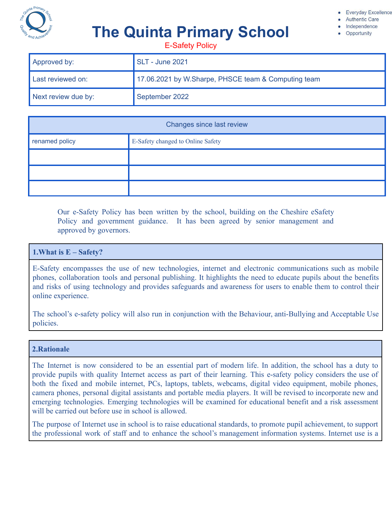

#### **Everyday Excellence**

**Authentic Care** 

Independence

Opportunity

# **The Quinta Primary School**

E-Safety Policy

| Approved by:        | <b>SLT - June 2021</b>                              |
|---------------------|-----------------------------------------------------|
| Last reviewed on:   | 17.06.2021 by W.Sharpe, PHSCE team & Computing team |
| Next review due by: | September 2022                                      |

| Changes since last review |                                   |
|---------------------------|-----------------------------------|
| renamed policy            | E-Safety changed to Online Safety |
|                           |                                   |
|                           |                                   |
|                           |                                   |

Our e-Safety Policy has been written by the school, building on the Cheshire eSafety Policy and government guidance. It has been agreed by senior management and approved by governors.

## **1.What is E – Safety?**

E-Safety encompasses the use of new technologies, internet and electronic communications such as mobile phones, collaboration tools and personal publishing. It highlights the need to educate pupils about the benefits and risks of using technology and provides safeguards and awareness for users to enable them to control their online experience.

The school's e-safety policy will also run in conjunction with the Behaviour, anti-Bullying and Acceptable Use policies.

#### **2.Rationale**

The Internet is now considered to be an essential part of modern life. In addition, the school has a duty to provide pupils with quality Internet access as part of their learning. This e-safety policy considers the use of both the fixed and mobile internet, PCs, laptops, tablets, webcams, digital video equipment, mobile phones, camera phones, personal digital assistants and portable media players. It will be revised to incorporate new and emerging technologies. Emerging technologies will be examined for educational benefit and a risk assessment will be carried out before use in school is allowed.

The purpose of Internet use in school is to raise educational standards, to promote pupil achievement, to support the professional work of staff and to enhance the school's management information systems. Internet use is a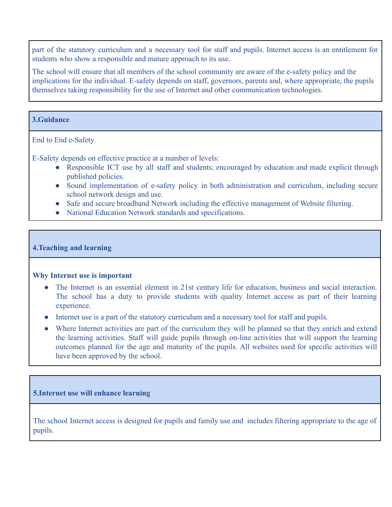part of the statutory curriculum and a necessary tool for staff and pupils. Internet access is an entitlement for students who show a responsible and mature approach to its use.

The school will ensure that all members of the school community are aware of the e-safety policy and the implications for the individual. E-safety depends on staff, governors, parents and, where appropriate, the pupils themselves taking responsibility for the use of Internet and other communication technologies.

# **3.Guidance**

# End to End e-Safety

E-Safety depends on effective practice at a number of levels:

- Responsible ICT use by all staff and students; encouraged by education and made explicit through published policies.
- Sound implementation of e-safety policy in both administration and curriculum, including secure school network design and use.
- Safe and secure broadband Network including the effective management of Website filtering.
- National Education Network standards and specifications.

#### **4.Teaching and learning**

#### **Why Internet use is important**

- The Internet is an essential element in 21st century life for education, business and social interaction. The school has a duty to provide students with quality Internet access as part of their learning experience.
- Internet use is a part of the statutory curriculum and a necessary tool for staff and pupils.
- Where Internet activities are part of the curriculum they will be planned so that they enrich and extend the learning activities. Staff will guide pupils through on-line activities that will support the learning outcomes planned for the age and maturity of the pupils. All websites used for specific activities will have been approved by the school.

#### **5.Internet use will enhance learning**

The school Internet access is designed for pupils and family use and includes filtering appropriate to the age of pupils.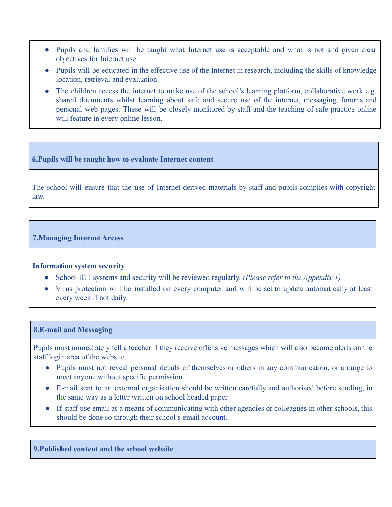- Pupils and families will be taught what Internet use is acceptable and what is not and given clear objectives for Internet use.
- Pupils will be educated in the effective use of the Internet in research, including the skills of knowledge location, retrieval and evaluation
- The children access the internet to make use of the school's learning platform, collaborative work e.g. shared documents whilst learning about safe and secure use of the internet, messaging, forums and personal web pages. These will be closely monitored by staff and the teaching of safe practice online will feature in every online lesson.

## **6.Pupils will be taught how to evaluate Internet content**

The school will ensure that the use of Internet derived materials by staff and pupils complies with copyright law.

# **7.Managing Internet Access**

#### **Information system security**

- School ICT systems and security will be reviewed regularly. *(Please refer to the Appendix 1)*
- Virus protection will be installed on every computer and will be set to update automatically at least every week if not daily.

#### **8.E-mail and Messaging**

Pupils must immediately tell a teacher if they receive offensive messages which will also become alerts on the staff login area of the website.

- Pupils must not reveal personal details of themselves or others in any communication, or arrange to meet anyone without specific permission.
- E-mail sent to an external organisation should be written carefully and authorised before sending, in the same way as a letter written on school headed paper.
- If staff use email as a means of communicating with other agencies or colleagues in other schools, this should be done so through their school's email account.

**9.Published content and the school website**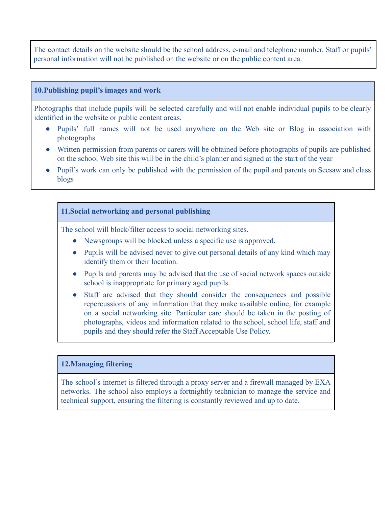The contact details on the website should be the school address, e-mail and telephone number. Staff or pupils' personal information will not be published on the website or on the public content area.

#### **10.Publishing pupil's images and work**

Photographs that include pupils will be selected carefully and will not enable individual pupils to be clearly identified in the website or public content areas.

- Pupils' full names will not be used anywhere on the Web site or Blog in association with photographs.
- Written permission from parents or carers will be obtained before photographs of pupils are published on the school Web site this will be in the child's planner and signed at the start of the year
- Pupil's work can only be published with the permission of the pupil and parents on Seesaw and class blogs

# **11.Social networking and personal publishing**

The school will block/filter access to social networking sites.

- Newsgroups will be blocked unless a specific use is approved.
- Pupils will be advised never to give out personal details of any kind which may identify them or their location.
- Pupils and parents may be advised that the use of social network spaces outside school is inappropriate for primary aged pupils.
- Staff are advised that they should consider the consequences and possible repercussions of any information that they make available online, for example on a social networking site. Particular care should be taken in the posting of photographs, videos and information related to the school, school life, staff and pupils and they should refer the Staff Acceptable Use Policy.

#### **12.Managing filtering**

The school's internet is filtered through a proxy server and a firewall managed by EXA networks. The school also employs a fortnightly technician to manage the service and technical support, ensuring the filtering is constantly reviewed and up to date.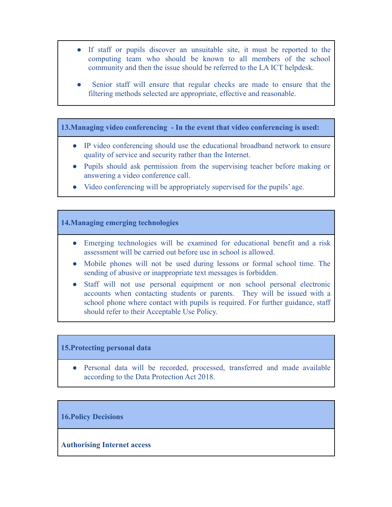- If staff or pupils discover an unsuitable site, it must be reported to the computing team who should be known to all members of the school community and then the issue should be referred to the LA ICT helpdesk.
- Senior staff will ensure that regular checks are made to ensure that the filtering methods selected are appropriate, effective and reasonable.

**13.Managing video conferencing - In the event that video conferencing is used:**

- IP video conferencing should use the educational broadband network to ensure quality of service and security rather than the Internet.
- Pupils should ask permission from the supervising teacher before making or answering a video conference call.
- Video conferencing will be appropriately supervised for the pupils' age.

## **14.Managing emerging technologies**

- Emerging technologies will be examined for educational benefit and a risk assessment will be carried out before use in school is allowed.
- Mobile phones will not be used during lessons or formal school time. The sending of abusive or inappropriate text messages is forbidden.
- Staff will not use personal equipment or non school personal electronic accounts when contacting students or parents. They will be issued with a school phone where contact with pupils is required. For further guidance, staff should refer to their Acceptable Use Policy.

#### **15.Protecting personal data**

• Personal data will be recorded, processed, transferred and made available according to the Data Protection Act 2018.

#### **16.Policy Decisions**

#### **Authorising Internet access**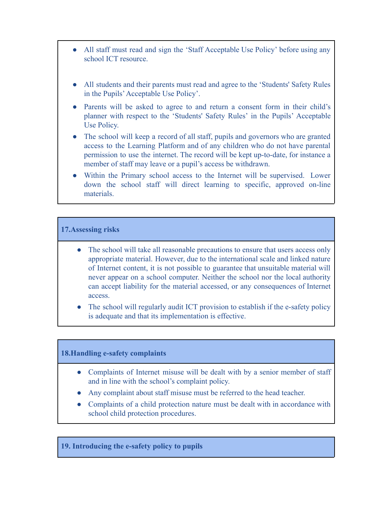- All staff must read and sign the 'Staff Acceptable Use Policy' before using any school ICT resource.
- All students and their parents must read and agree to the 'Students' Safety Rules in the Pupils'Acceptable Use Policy'.
- Parents will be asked to agree to and return a consent form in their child's planner with respect to the 'Students' Safety Rules' in the Pupils' Acceptable Use Policy.
- The school will keep a record of all staff, pupils and governors who are granted access to the Learning Platform and of any children who do not have parental permission to use the internet. The record will be kept up-to-date, for instance a member of staff may leave or a pupil's access be withdrawn.
- Within the Primary school access to the Internet will be supervised. Lower down the school staff will direct learning to specific, approved on-line materials.

## **17.Assessing risks**

- The school will take all reasonable precautions to ensure that users access only appropriate material. However, due to the international scale and linked nature of Internet content, it is not possible to guarantee that unsuitable material will never appear on a school computer. Neither the school nor the local authority can accept liability for the material accessed, or any consequences of Internet access.
- The school will regularly audit ICT provision to establish if the e-safety policy is adequate and that its implementation is effective.

#### **18.Handling e-safety complaints**

- Complaints of Internet misuse will be dealt with by a senior member of staff and in line with the school's complaint policy.
- Any complaint about staff misuse must be referred to the head teacher.
- Complaints of a child protection nature must be dealt with in accordance with school child protection procedures.

#### **19. Introducing the e-safety policy to pupils**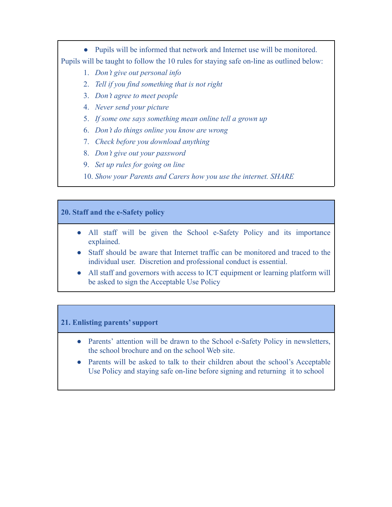● Pupils will be informed that network and Internet use will be monitored. Pupils will be taught to follow the 10 rules for staying safe on-line as outlined below:

- 1. *Don't give out personal info*
- 2. *Tell if you find something that is not right*
- 3. *Don't agree to meet people*
- 4. *Never send your picture*
- 5. *If some one says something mean online tell a grown up*
- 6. *Don't do things online you know are wrong*
- 7. *Check before you download anything*
- 8. *Don't give out your password*
- 9. *Set up rules for going on line*
- 10. *Show your Parents and Carers how you use the internet. SHARE*

#### **20. Staff and the e-Safety policy**

- All staff will be given the School e-Safety Policy and its importance explained.
- Staff should be aware that Internet traffic can be monitored and traced to the individual user. Discretion and professional conduct is essential.
- All staff and governors with access to ICT equipment or learning platform will be asked to sign the Acceptable Use Policy

#### **21. Enlisting parents' support**

- Parents' attention will be drawn to the School e-Safety Policy in newsletters, the school brochure and on the school Web site.
- Parents will be asked to talk to their children about the school's Acceptable Use Policy and staying safe on-line before signing and returning it to school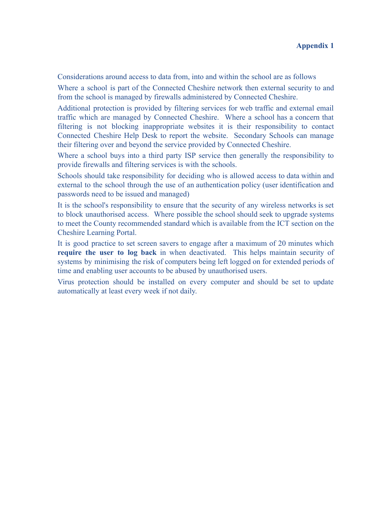Considerations around access to data from, into and within the school are as follows

Where a school is part of the Connected Cheshire network then external security to and from the school is managed by firewalls administered by Connected Cheshire.

Additional protection is provided by filtering services for web traffic and external email traffic which are managed by Connected Cheshire. Where a school has a concern that filtering is not blocking inappropriate websites it is their responsibility to contact Connected Cheshire Help Desk to report the website. Secondary Schools can manage their filtering over and beyond the service provided by Connected Cheshire.

Where a school buys into a third party ISP service then generally the responsibility to provide firewalls and filtering services is with the schools.

Schools should take responsibility for deciding who is allowed access to data within and external to the school through the use of an authentication policy (user identification and passwords need to be issued and managed)

It is the school's responsibility to ensure that the security of any wireless networks is set to block unauthorised access. Where possible the school should seek to upgrade systems to meet the County recommended standard which is available from the ICT section on the Cheshire Learning Portal.

It is good practice to set screen savers to engage after a maximum of 20 minutes which **require the user to log back** in when deactivated. This helps maintain security of systems by minimising the risk of computers being left logged on for extended periods of time and enabling user accounts to be abused by unauthorised users.

Virus protection should be installed on every computer and should be set to update automatically at least every week if not daily.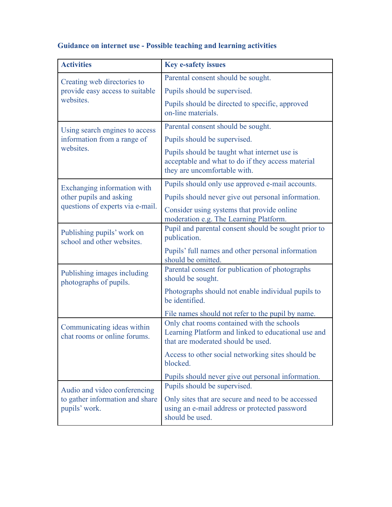#### **Activities Key e-safety issues** Creating web directories to provide easy access to suitable websites Parental consent should be sought. Pupils should be supervised. Pupils should be directed to specific, approved on-line materials. Using search engines to access information from a range of websites. Parental consent should be sought. Pupils should be supervised. Pupils should be taught what internet use is acceptable and what to do if they access material they are uncomfortable with. Exchanging information with other pupils and asking questions of experts via e-mail. Pupils should only use approved e-mail accounts. Pupils should never give out personal information. Consider using systems that provide online moderation e.g. The Learning Platform. Publishing pupils' work on school and other websites. Pupil and parental consent should be sought prior to publication. Pupils' full names and other personal information should be omitted. Publishing images including photographs of pupils. Parental consent for publication of photographs should be sought. Photographs should not enable individual pupils to be identified. File names should not refer to the pupil by name. Communicating ideas within chat rooms or online forums. Only chat rooms contained with the schools Learning Platform and linked to educational use and that are moderated should be used. Access to other social networking sites should be blocked. Pupils should never give out personal information. Audio and video conferencing to gather information and share pupils' work. Pupils should be supervised. Only sites that are secure and need to be accessed using an e-mail address or protected password should be used.

# **Guidance on internet use - Possible teaching and learning activities**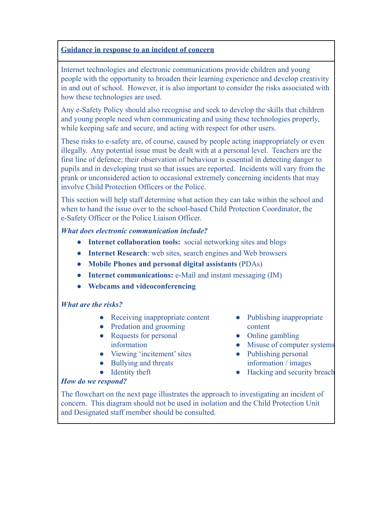# **Guidance in response to an incident of concern**

Internet technologies and electronic communications provide children and young people with the opportunity to broaden their learning experience and develop creativity in and out of school. However, it is also important to consider the risks associated with how these technologies are used.

Any e-Safety Policy should also recognise and seek to develop the skills that children and young people need when communicating and using these technologies properly, while keeping safe and secure, and acting with respect for other users.

These risks to e-safety are, of course, caused by people acting inappropriately or even illegally. Any potential issue must be dealt with at a personal level. Teachers are the first line of defence; their observation of behaviour is essential in detecting danger to pupils and in developing trust so that issues are reported. Incidents will vary from the prank or unconsidered action to occasional extremely concerning incidents that may involve Child Protection Officers or the Police.

This section will help staff determine what action they can take within the school and when to hand the issue over to the school-based Child Protection Coordinator, the e-Safety Officer or the Police Liaison Officer.

# *What does electronic communication include?*

- **Internet collaboration tools:** social networking sites and blogs
- **Internet Research**: web sites, search engines and Web browsers
- **Mobile Phones and personal digital assistants** (PDAs)
- **Internet communications:** e-Mail and instant messaging (IM)
- **Webcams and videoconferencing**

# *What are the risks?*

- **●** Receiving inappropriate content
- **●** Predation and grooming
- **●** Requests for personal information
- **●** Viewing 'incitement' sites
- **●** Bullying and threats
- **●** Identity theft
- **●** Publishing inappropriate content
- **●** Online gambling
- **●** Misuse of computer systems
- **●** Publishing personal information / images
- **●** Hacking and security breach

# *How do we respond?*

The flowchart on the next page illustrates the approach to investigating an incident of concern. This diagram should not be used in isolation and the Child Protection Unit and Designated staff member should be consulted.